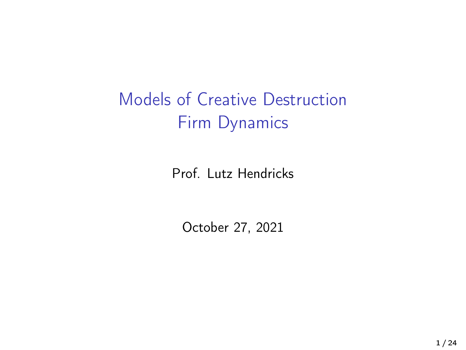# Models of Creative Destruction Firm Dynamics

Prof. Lutz Hendricks

October 27, 2021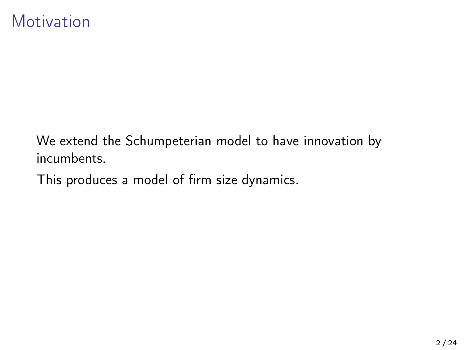#### **Motivation**

We extend the Schumpeterian model to have innovation by incumbents.

This produces a model of firm size dynamics.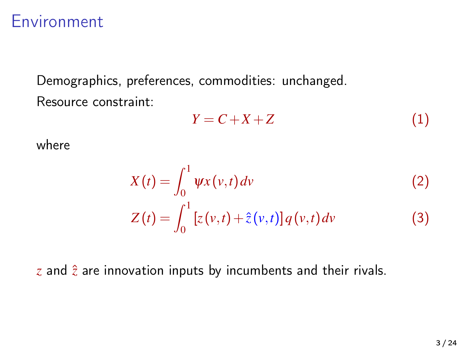#### **Environment**

Demographics, preferences, commodities: unchanged. Resource constraint:

$$
Y = C + X + Z \tag{1}
$$

where

$$
X(t) = \int_0^1 \psi x(v, t) dv
$$
 (2)  

$$
Z(t) = \int_0^1 [z(v, t) + \hat{z}(v, t)] q(v, t) dv
$$
 (3)

 $z$  and  $\hat{z}$  are innovation inputs by incumbents and their rivals.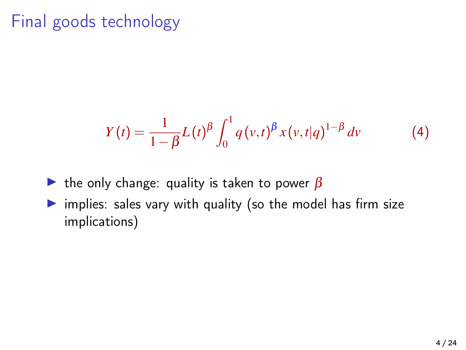### Final goods technology

$$
Y(t) = \frac{1}{1 - \beta} L(t)^{\beta} \int_0^1 q(v, t)^{\beta} x(v, t | q)^{1 - \beta} dv \tag{4}
$$

- In the only change: quality is taken to power  $\beta$
- $\triangleright$  implies: sales vary with quality (so the model has firm size implications)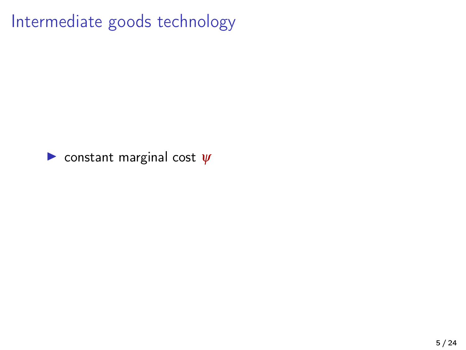Intermediate goods technology

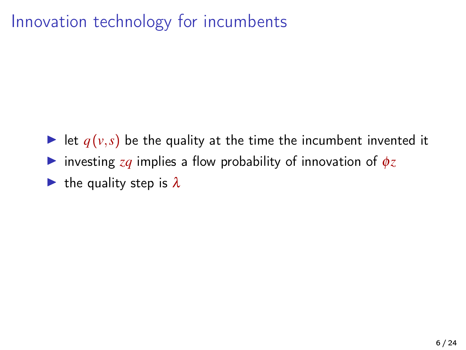### Innovation technology for incumbents

- In let  $q(v,s)$  be the quality at the time the incumbent invented it
- **If** investing  $zq$  implies a flow probability of innovation of  $\phi z$
- In the quality step is  $\lambda$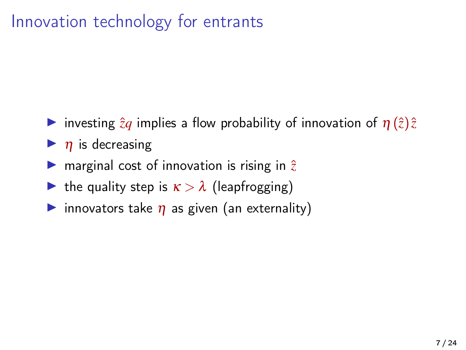### Innovation technology for entrants

- **If** investing  $\hat{z}q$  implies a flow probability of innovation of  $\eta(\hat{z})\hat{z}$
- $\blacktriangleright$  *n* is decreasing
- **If** marginal cost of innovation is rising in  $\hat{z}$
- In the quality step is  $\kappa > \lambda$  (leapfrogging)
- innovators take  $\eta$  as given (an externality)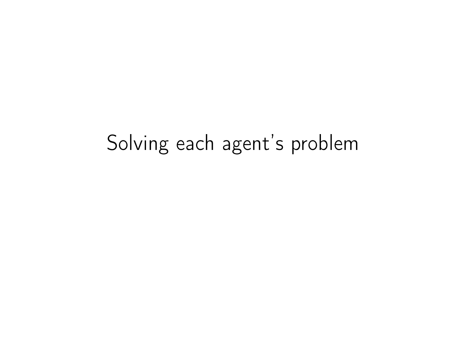# Solving each agent's problem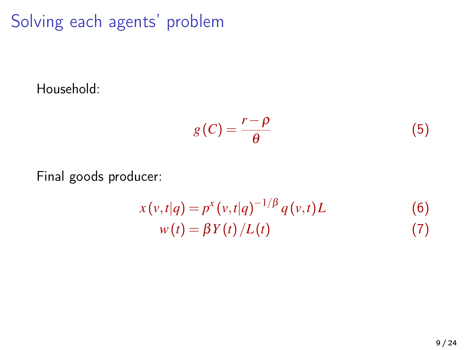Solving each agents' problem

Household:

$$
g(C) = \frac{r - \rho}{\theta} \tag{5}
$$

Final goods producer:

$$
x(v,t|q) = p^{x}(v,t|q)^{-1/\beta} q(v,t)L
$$
  
\n
$$
w(t) = \beta Y(t)/L(t)
$$
\n(7)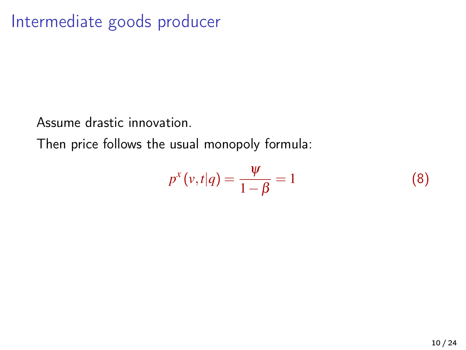### Intermediate goods producer

Assume drastic innovation.

Then price follows the usual monopoly formula:

$$
p^{x}(v,t|q) = \frac{\psi}{1-\beta} = 1
$$
\n(8)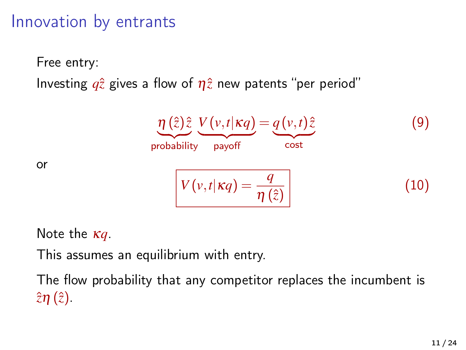#### Innovation by entrants

Free entry:

Investing  $q\hat{z}$  gives a flow of  $\eta\hat{z}$  new patents "per period"

<span id="page-10-0"></span>
$$
\underbrace{\eta(\hat{z})\hat{z}}_{\text{probability}}\underbrace{V(v,t|\kappa q)}_{\text{payoff}} = \underbrace{q(v,t)\hat{z}}_{\text{cost}}
$$
(9)  

$$
V(v,t|\kappa q) = \frac{q}{\eta(\hat{z})}
$$
(10)

Note the κ*q*.

or

This assumes an equilibrium with entry.

The flow probability that any competitor replaces the incumbent is  $\hat{z}\eta(\hat{z})$ .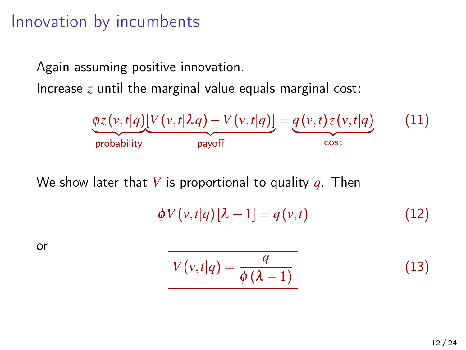#### Innovation by incumbents

Again assuming positive innovation.

Increase *z* until the marginal value equals marginal cost:



We show later that *V* is proportional to quality *q*. Then

$$
\phi V(v,t|q)[\lambda -1] = q(v,t) \tag{12}
$$

or

<span id="page-11-0"></span>
$$
V(v,t|q) = \frac{q}{\phi(\lambda - 1)}
$$
 (13)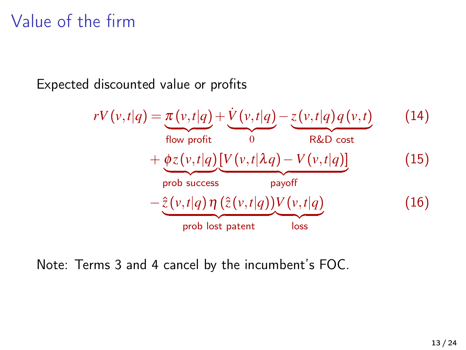### Value of the firm

Expected discounted value or profits

$$
rV(v,t|q) = \underbrace{\pi(v,t|q)}_{\text{flow profit}} + \underbrace{\dot{V}(v,t|q)}_{0} - \underbrace{z(v,t|q)q(v,t)}_{\text{R&D cost}} \qquad (14)
$$
  
+ 
$$
\underbrace{\phi z(v,t|q)}_{\text{prob success}} \underbrace{[V(v,t|\lambda q) - V(v,t|q)]}_{\text{payoff}} \qquad (15)
$$
  
- 
$$
\underbrace{\hat{z}(v,t|q) \eta(\hat{z}(v,t|q)) V(v,t|q)}_{\text{prob lost patent}} \qquad (16)
$$

Note: Terms 3 and 4 cancel by the incumbent's FOC.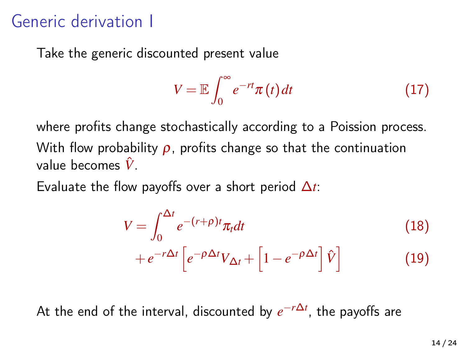#### Generic derivation I

Take the generic discounted present value

$$
V = \mathbb{E} \int_0^\infty e^{-rt} \pi(t) dt \qquad (17)
$$

where profits change stochastically according to a Poission process. With flow probability  $\rho$ , profits change so that the continuation value becomes *V*ˆ.

Evaluate the flow payoffs over a short period ∆*t*:

$$
V = \int_0^{\Delta t} e^{-(r+\rho)t} \pi_t dt \tag{18}
$$

$$
+e^{-r\Delta t}\left[e^{-\rho\Delta t}V_{\Delta t}+\left[1-e^{-\rho\Delta t}\right]\hat{V}\right]
$$
\n(19)

At the end of the interval, discounted by *e* −*r*∆*t* , the payoffs are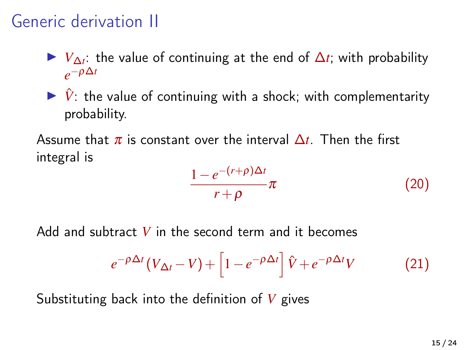### Generic derivation II

 $V_{\Delta t}$ : the value of continuing at the end of  $\Delta t$ ; with probability  $e^{-\rho \Delta t}$ 

 $\triangleright$   $\hat{V}$ : the value of continuing with a shock; with complementarity probability.

Assume that  $\pi$  is constant over the interval  $\Delta t$ . Then the first integral is

$$
\frac{1 - e^{-(r+\rho)\Delta t}}{r+\rho} \pi \tag{20}
$$

Add and subtract *V* in the second term and it becomes

$$
e^{-\rho \Delta t} (V_{\Delta t} - V) + \left[1 - e^{-\rho \Delta t}\right] \hat{V} + e^{-\rho \Delta t} V \tag{21}
$$

Substituting back into the definition of *V* gives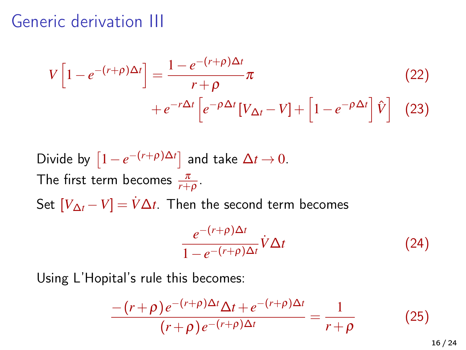#### Generic derivation III

$$
V\left[1 - e^{-(r+\rho)\Delta t}\right] = \frac{1 - e^{-(r+\rho)\Delta t}}{r+\rho}\pi
$$
\n
$$
+ e^{-r\Delta t}\left[e^{-\rho\Delta t}[V_{\Delta t} - V] + \left[1 - e^{-\rho\Delta t}\right]\hat{V}\right]
$$
\n(23)

Divide by  $\left[1-e^{-(r+\rho)\Delta t}\right]$  and take  $\Delta t \to 0$ . The first term becomes  $\frac{\pi}{r+\rho}$ . Set  $[V_{\Delta t} - V] = \dot{V} \Delta t$ . Then the second term becomes

$$
\frac{e^{-(r+\rho)\Delta t}}{1-e^{-(r+\rho)\Delta t}}\dot{V}\Delta t\tag{24}
$$

Using L'Hopital's rule this becomes:

$$
\frac{-\left(r+\rho\right)e^{-\left(r+\rho\right)\Delta t}\Delta t + e^{-\left(r+\rho\right)\Delta t}}{\left(r+\rho\right)e^{-\left(r+\rho\right)\Delta t}} = \frac{1}{r+\rho} \tag{25}
$$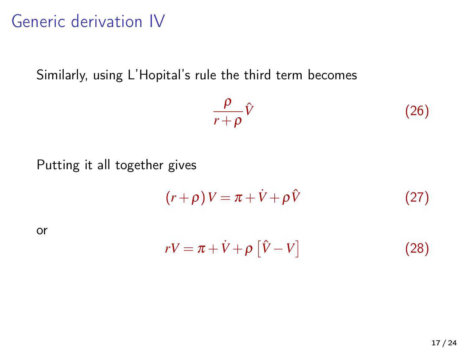### Generic derivation IV

Similarly, using L'Hopital's rule the third term becomes

$$
\frac{\rho}{r+\rho}\hat{V}\tag{26}
$$

Putting it all together gives

$$
(r+\rho)V = \pi + \dot{V} + \rho \hat{V}
$$
 (27)

or

$$
rV = \pi + \dot{V} + \rho \left[ \hat{V} - V \right]
$$
 (28)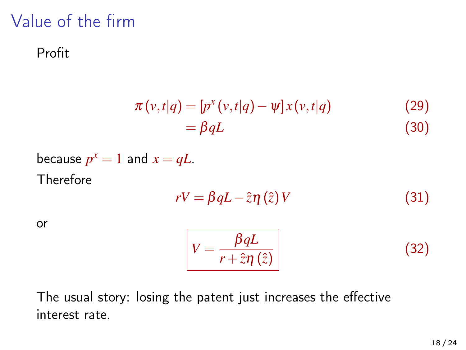### Value of the firm

#### Profit

$$
\pi(v,t|q) = [p^x(v,t|q) - \psi]x(v,t|q)
$$
\n
$$
= \beta qL
$$
\n(30)

because 
$$
p^x = 1
$$
 and  $x = qL$ .  
Therefore

$$
rV = \beta qL - \hat{z}\eta\left(\hat{z}\right)V\tag{31}
$$

or

<span id="page-17-0"></span>
$$
V = \frac{\beta qL}{r + \hat{z}\eta(\hat{z})}
$$
 (32)

The usual story: losing the patent just increases the effective interest rate.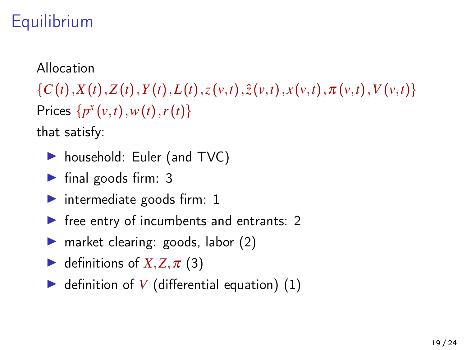## **Equilibrium**

#### Allocation

 $\{C(t), X(t), Z(t), Y(t), L(t), z(v,t), \hat{z}(v,t), x(v,t), \pi(v,t), V(v,t)\}\$ Prices  $\{p^x(v,t), w(t), r(t)\}$ 

that satisfy:

- household: Euler (and TVC)
- $\blacktriangleright$  final goods firm: 3
- intermediate goods firm:  $1$
- $\blacktriangleright$  free entry of incumbents and entrants: 2
- $\triangleright$  market clearing: goods, labor (2)
- $\blacktriangleright$  definitions of *X*, *Z*,  $\pi$  (3)
- $\triangleright$  definition of *V* (differential equation) (1)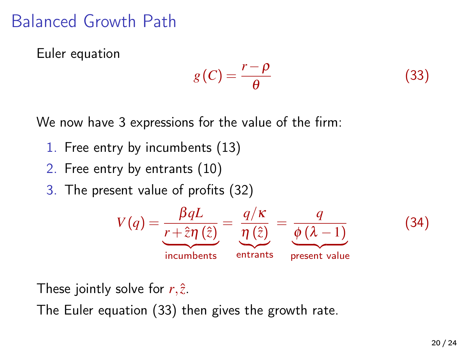### Balanced Growth Path

Euler equation

<span id="page-19-0"></span>
$$
g(C) = \frac{r - \rho}{\theta} \tag{33}
$$

We now have 3 expressions for the value of the firm:

- 1. Free entry by incumbents [\(13\)](#page-11-0)
- 2. Free entry by entrants [\(10\)](#page-10-0)
- 3. The present value of profits [\(32\)](#page-17-0)



These jointly solve for  $r, \hat{z}$ .

The Euler equation [\(33\)](#page-19-0) then gives the growth rate.

(34)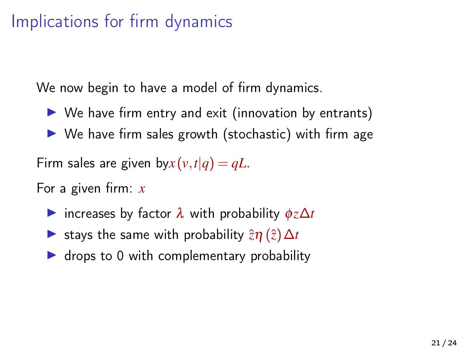### Implications for firm dynamics

We now begin to have a model of firm dynamics.

- $\triangleright$  We have firm entry and exit (innovation by entrants)
- $\triangleright$  We have firm sales growth (stochastic) with firm age

Firm sales are given by  $x(v,t|q) = qL$ .

For a given firm: *x*

- $\triangleright$  increases by factor  $\lambda$  with probability  $\phi z \Delta t$
- $\triangleright$  stays the same with probability  $\hat{z}η$  ( $\hat{z}$ )  $\Delta t$
- $\triangleright$  drops to 0 with complementary probability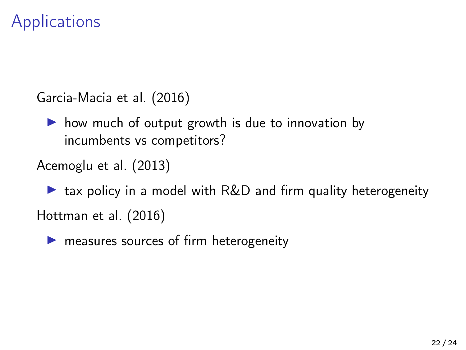### Applications

[Garcia-Macia et al. \(2016\)](#page-23-0)

 $\triangleright$  how much of output growth is due to innovation by incumbents vs competitors?

[Acemoglu et al. \(2013\)](#page-23-1)

 $\triangleright$  tax policy in a model with R&D and firm quality heterogeneity [Hottman et al. \(2016\)](#page-23-2)

 $\blacktriangleright$  measures sources of firm heterogeneity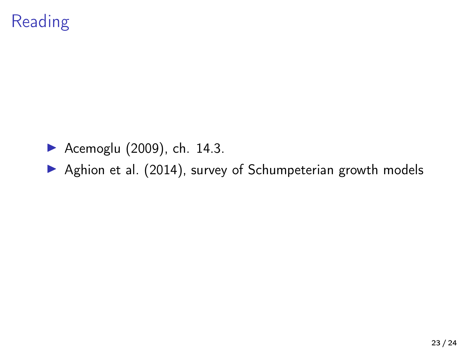## **Reading**

- $\blacktriangleright$  [Acemoglu \(2009\)](#page-23-3), ch. 14.3.
- [Aghion et al. \(2014\)](#page-23-4), survey of Schumpeterian growth models